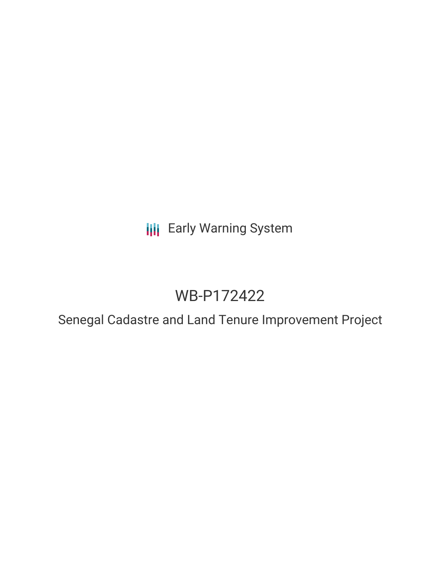# **III** Early Warning System

# WB-P172422

Senegal Cadastre and Land Tenure Improvement Project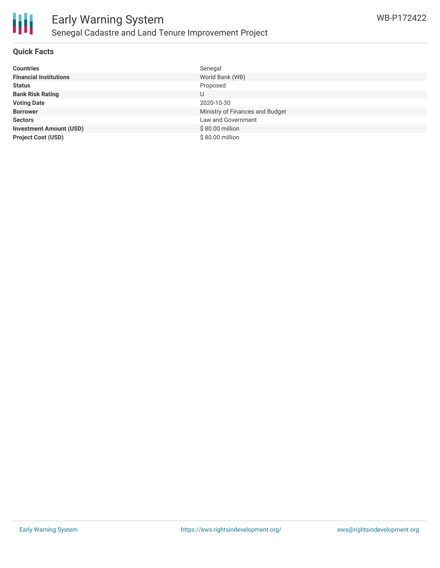

#### **Quick Facts**

| <b>Countries</b>               | Senegal                         |
|--------------------------------|---------------------------------|
| <b>Financial Institutions</b>  | World Bank (WB)                 |
| <b>Status</b>                  | Proposed                        |
| <b>Bank Risk Rating</b>        | U                               |
| <b>Voting Date</b>             | 2020-10-30                      |
| <b>Borrower</b>                | Ministry of Finances and Budget |
| <b>Sectors</b>                 | Law and Government              |
| <b>Investment Amount (USD)</b> | \$80.00 million                 |
| <b>Project Cost (USD)</b>      | \$80.00 million                 |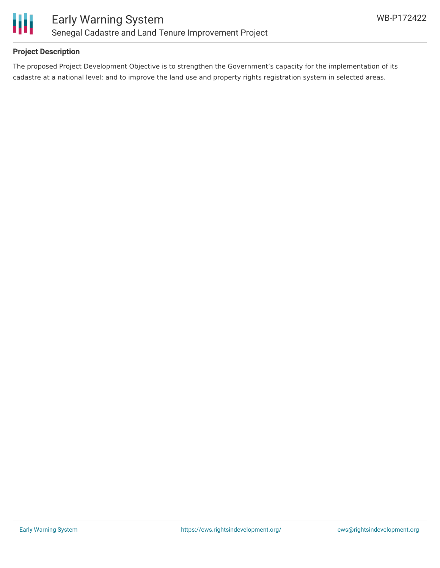

## **Project Description**

The proposed Project Development Objective is to strengthen the Government's capacity for the implementation of its cadastre at a national level; and to improve the land use and property rights registration system in selected areas.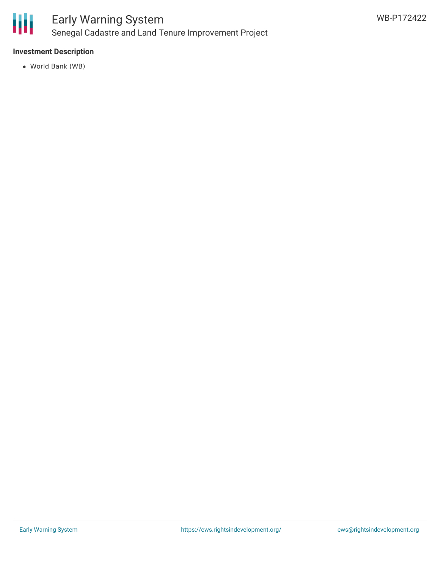

# Early Warning System Senegal Cadastre and Land Tenure Improvement Project

## **Investment Description**

World Bank (WB)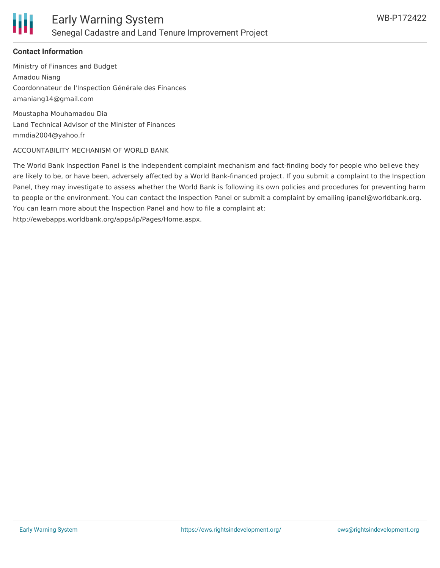

### **Contact Information**

Ministry of Finances and Budget Amadou Niang Coordonnateur de l'Inspection Générale des Finances amaniang14@gmail.com

Moustapha Mouhamadou Dia Land Technical Advisor of the Minister of Finances mmdia2004@yahoo.fr

#### ACCOUNTABILITY MECHANISM OF WORLD BANK

The World Bank Inspection Panel is the independent complaint mechanism and fact-finding body for people who believe they are likely to be, or have been, adversely affected by a World Bank-financed project. If you submit a complaint to the Inspection Panel, they may investigate to assess whether the World Bank is following its own policies and procedures for preventing harm to people or the environment. You can contact the Inspection Panel or submit a complaint by emailing ipanel@worldbank.org. You can learn more about the Inspection Panel and how to file a complaint at: http://ewebapps.worldbank.org/apps/ip/Pages/Home.aspx.